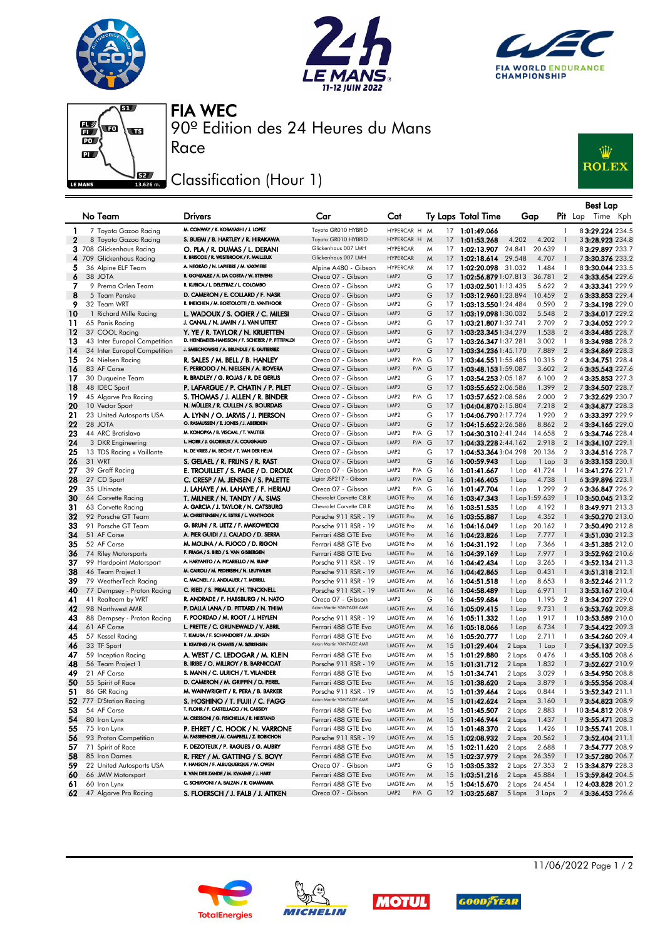







90º Edition des 24 Heures du Mans FIA WEC

## Classification (Hour 1)

Race



|              |                                                              |                                                                                       |                                                 |                                              |        |    |                                                |                                    |                |                                  | Best Lap                             |
|--------------|--------------------------------------------------------------|---------------------------------------------------------------------------------------|-------------------------------------------------|----------------------------------------------|--------|----|------------------------------------------------|------------------------------------|----------------|----------------------------------|--------------------------------------|
|              | No Team                                                      | <b>Drivers</b>                                                                        | Car                                             | Cat                                          |        |    | Ty Laps Total Time                             | Gap                                |                |                                  | $P$ it Lap<br>Time Kph               |
| $\mathbf{1}$ | 7 Toyota Gazoo Racing                                        | M. CONWAY / K. KOBAYASHI / J. LOPEZ                                                   | Toyota GR010 HYBRID                             | HYPERCAR H M                                 |        |    | 17 1:01:49.066                                 |                                    |                | $\mathbf{1}$                     | 83:29.224 234.5                      |
| $\mathbf{2}$ | 8 Toyota Gazoo Racing                                        | S. BUEMI / B. HARTLEY / R. HIRAKAWA                                                   | Toyota GR010 HYBRID                             | HYPERCAR H M                                 |        |    | 17 1:01:53.268                                 | 4.202                              | 4.202          | $\overline{\phantom{a}}$         | 33:28.923 234.8                      |
|              | 3 708 Glickenhaus Racing                                     | O. PLA / R. DUMAS / L. DERANI                                                         | Glickenhaus 007 LMH                             | <b>HYPERCAR</b>                              | M      |    | 17 1:02:13.907                                 | 24.841                             | 20.639         | - 1                              | 83:29.897 233.7                      |
|              | 4 709 Glickenhaus Racing                                     | R. BRISCOE / R. WESTBROOK / F. MAILLEUX                                               | Glickenhaus 007 LMH                             | <b>HYPERCAR</b>                              | M      |    | 17 1:02:18.614                                 | 29.548                             | 4.707          | $\overline{1}$                   | 73:30.376 233.2                      |
| 5            | 36 Alpine ELF Team                                           | A. NEGRÃO / N. LAPIERRE / M. VAXIVIERE                                                | Alpine A480 - Gibson                            | <b>HYPERCAR</b>                              | M      |    | 17 1:02:20.098                                 | 31.032                             | 1.484          | $\overline{1}$                   | 83:30.044 233.5                      |
| 6            | 38 JOTA                                                      | R. GONZALEZ / A. DA COSTA / W. STEVENS                                                | Oreca 07 - Gibson                               | LMP <sub>2</sub>                             | G      |    | 17 1:02:56.879 1:07.813                        |                                    | 36.781         | $\overline{\phantom{0}}$         | 4 3:33.654 229.6                     |
| 7            | 9 Prema Orlen Team                                           | R. KUBICA / L. DELETRAZ / L. COLOMBO                                                  | Oreca 07 - Gibson                               | LMP <sub>2</sub>                             | G      |    | 17 1:03:02.5011:13.435                         |                                    | 5.622          | $\overline{2}$                   | 4 3:33.341 229.9                     |
| 8            | 5 Team Penske                                                | D. CAMERON / E. COLLARD / F. NASR<br>R. INEICHEN / M. BORTOLOTTI / D. VANTHOOR        | Oreca 07 - Gibson                               | LMP <sub>2</sub>                             | G      |    | 17 1:03:12.9601:23.894                         |                                    | 10.459         | $\overline{2}$                   | 63:33.853 229.4                      |
| 9            | 32 Team WRT                                                  |                                                                                       | Oreca 07 - Gibson                               | LMP <sub>2</sub>                             | G      |    | 17 1:03:13.5501:24.484                         |                                    | 0.590          | $\overline{2}$                   | 73:34.198229.0                       |
| 10           | 1 Richard Mille Racing                                       | L. WADOUX / S. OGIER / C. MILESI                                                      | Oreca 07 - Gibson                               | LMP <sub>2</sub>                             | G      |    | 17 1:03:19.0981:30.032                         |                                    | 5.548          | $\overline{2}$                   | 73:34.017 229.2                      |
| 11           | 65 Panis Racing<br>37 COOL Racing                            | J. CANAL / N. JAMIN / J. VAN UITERT                                                   | Oreca 07 - Gibson                               | LMP <sub>2</sub><br>LMP <sub>2</sub>         | G<br>G |    | 17 1:03:21.807 1:32.741                        |                                    | 2.709          | $\overline{2}$<br>$\overline{2}$ | 73:34.052 229.2<br>43:34.485 228.7   |
| 12<br>13     |                                                              | Y. YE / R. TAYLOR / N. KRUETTEN<br>D. HEINEMEIER-HANSSON / F. SCHERER / P. FITTIPALDI | Oreca 07 - Gibson<br>Oreca 07 - Gibson          | LMP <sub>2</sub>                             | G      | 17 | 17 1:03:23.345 1:34.279<br>1:03:26.3471:37.281 |                                    | 1.538<br>3.002 | $\overline{1}$                   | 83:34.988 228.2                      |
| 14           | 43 Inter Europol Competition<br>34 Inter Europol Competition | J. SMIECHOWSKI / A. BRUNDLE / E. GUTIERREZ                                            | Oreca 07 - Gibson                               | LMP <sub>2</sub>                             | G      |    | 17 1:03:34.2361:45.170                         |                                    | 7.889          | $\overline{2}$                   | 43:34.869 228.3                      |
| 15           | 24 Nielsen Racing                                            | R. SALES / M. BELL / B. HANLEY                                                        | Oreca 07 - Gibson                               | P/A G<br>LMP <sub>2</sub>                    |        | 17 | <b>1:03:44.551</b> 1:55.485                    |                                    | 10.315         | $\overline{2}$                   | 4 3:34.751 228.4                     |
| 16           | 83 AF Corse                                                  | F. PERRODO / N. NIELSEN / A. ROVERA                                                   | Oreca 07 - Gibson                               | LMP <sub>2</sub><br>P/A G                    |        | 17 | 1:03:48.1531:59.087                            |                                    | 3.602          | $\overline{2}$                   | 63:35.543 227.6                      |
| 17           | 30 Duqueine Team                                             | R. BRADLEY / G. ROJAS / R. DE GERUS                                                   | Oreca 07 - Gibson                               | LMP <sub>2</sub>                             | G      |    | 17 1:03:54.253 2:05.187                        |                                    | 6.100          | $\overline{2}$                   | 4 3:35.853 227.3                     |
| 18           | 48 IDEC Sport                                                | P. LAFARGUE / P. CHATIN / P. PILET                                                    | Oreca 07 - Gibson                               | LMP <sub>2</sub>                             | G      |    | 17 1:03:55.652 2:06.586                        |                                    | 1.399          | $\overline{2}$                   | 73:34.507 228.7                      |
| 19           | 45 Algarve Pro Racing                                        | S. THOMAS / J. ALLEN / R. BINDER                                                      | Oreca 07 - Gibson                               | LMP <sub>2</sub><br>P/A G                    |        | 17 | <b>1:03:57.652</b> 2:08.586                    |                                    | 2.000          | $\overline{2}$                   | 73:32.629 230.7                      |
| 20           | 10 Vector Sport                                              | N. MÜLLER / R. CULLEN / S. BOURDAIS                                                   | Oreca 07 - Gibson                               | LMP <sub>2</sub>                             | G      |    | 17 1:04:04.870 2:15.804                        |                                    | 7.218          | $\overline{2}$                   | 43:34.877 228.3                      |
| 21           | 23 United Autosports USA                                     | A. LYNN / O. JARVIS / J. PIERSON                                                      | Oreca 07 - Gibson                               | LMP <sub>2</sub>                             | G      | 17 | <b>1:04:06.790</b> 2:17.724                    |                                    | 1.920          | $\overline{2}$                   | 63:33.397 229.9                      |
| 22           | 28 JOTA                                                      | O. RASMUSSEN / E. JONES / J. ABERDEIN                                                 | Oreca 07 - Gibson                               | LMP <sub>2</sub>                             | G      |    | 17 1:04:15.652 2:26.586                        |                                    | 8.862 2        |                                  | 4 3:34.165 229.0                     |
| 23           | 44 ARC Bratislava                                            | M. KONOPKA / B. VISCAAL / T. VAUTIER                                                  | Oreca 07 - Gibson                               | P/A G<br>LMP <sub>2</sub>                    |        | 17 | 1:04:30.3102:41.244                            |                                    | 14.658         | $\overline{2}$                   | 63:34.746 228.4                      |
| 24           | 3 DKR Engineering                                            | L. HORR / J. GLORIEUX / A. COUGNAUD                                                   | Oreca 07 - Gibson                               | LMP <sub>2</sub><br>P/A G                    |        | 17 | 1:04:33.2282:44.162                            |                                    | 2.918          | $\overline{2}$                   | 14 3:34.107 229.1                    |
| 25           | 13 TDS Racing x Vaillante                                    | N. DE VRIES / M. BECHE / T. VAN DER HELM                                              | Oreca 07 - Gibson                               | LMP <sub>2</sub>                             | G      |    | 17 1:04:53.3643:04.298                         |                                    | 20.136         | $\overline{2}$                   | 3 3:34.516 228.7                     |
| 26           | 31 WRT                                                       | S. GELAEL / R. FRIJNS / R. RAST                                                       | Oreca 07 - Gibson                               | LMP <sub>2</sub>                             | G      |    | 16 1:00:59.943                                 | 1 Lap                              | 1 Lap          | 3                                | 6 3:33.153 230.1                     |
| 27           | 39 Graff Racing                                              | E. TROUILLET / S. PAGE / D. DROUX                                                     | Oreca 07 - Gibson                               | LMP <sub>2</sub><br>P/A G                    |        |    | 16 1:01:41.667                                 | 1 Lap                              | 41.724         | -1                               | 14 3:41.276 221.7                    |
| 28           | 27 CD Sport                                                  | C. CRESP / M. JENSEN / S. PALETTE                                                     | Ligier JSP217 - Gibson                          | LMP <sub>2</sub><br>P/A G                    |        |    | 16 1:01:46.405                                 | 1 Lap                              | 4.738          | $\overline{1}$                   | 63:39.896 223.1                      |
| 29           | 35 Ultimate                                                  | J. LAHAYE / M. LAHAYE / F. HERIAU                                                     | Oreca 07 - Gibson<br>Chevrolet Corvette C8.R    | LMP <sub>2</sub><br>P/A G                    |        |    | 16 1:01:47.704                                 | 1 Lap                              | 1.299          | $\overline{2}$                   | 63:36.847 226.2                      |
| 30<br>31     | 64 Corvette Racing                                           | T. MILNER / N. TANDY / A. SIMS<br>A. GARCIA / J. TAYLOR / N. CATSBURG                 | Chevrolet Corvette C8.R                         | <b>LMGTE Pro</b><br><b>LMGTE Pro</b>         | M<br>M |    | 16 1:03:47.343                                 | 1 Lap 1:59.639                     |                | $\overline{1}$<br>$\overline{1}$ | 10 3:50.045 213.2<br>83:49.971 213.3 |
| 32           | 63 Corvette Racing<br>92 Porsche GT Team                     | M. CHRISTENSEN / K. ESTRE / L. VANTHOOR                                               | Porsche 911 RSR - 19                            | <b>LMGTE Pro</b>                             | M      |    | 16 1:03:51.535<br>16 1:03:55.887               | 1 Lap<br>1 Lap                     | 4.192<br>4.352 | - 1                              | 43:50.270 213.0                      |
| 33           | 91 Porsche GT Team                                           | G. BRUNI / R. LIETZ / F. MAKOWIECKI                                                   | Porsche 911 RSR - 19                            | <b>LMGTE Pro</b>                             | M      |    | 16 1:04:16.049                                 | 1 Lap                              | 20.162         | $\overline{1}$                   | 73:50.490 212.8                      |
| 34           | 51 AF Corse                                                  | A. PIER GUIDI / J. CALADO / D. SERRA                                                  | Ferrari 488 GTE Evo                             | <b>LMGTE Pro</b>                             | M      |    | 16 1:04:23.826                                 | 1 Lap                              | 7.777          | $\overline{\phantom{a}}$         | 43:51.030 212.3                      |
| 35           | 52 AF Corse                                                  | M. MOLINA / A. FUOCO / D. RIGON                                                       | Ferrari 488 GTE Evo                             | <b>LMGTE Pro</b>                             | M      |    | 16 1:04:31.192                                 | 1 Lap                              | 7.366          | - 1                              | 4 3:51.385 212.0                     |
| 36           | 74 Riley Motorsports                                         | F. FRAGA / S. BIRD / S. VAN GISBERGEN                                                 | Ferrari 488 GTE Evo                             | <b>LMGTE Pro</b>                             | M      |    | 16 1:04:39.169                                 | 1 Lap                              | 7.977          | $\overline{\phantom{0}}$         | 33:52.962 210.6                      |
| 37           | 99 Hardpoint Motorsport                                      | A. HARYANTO / A. PICARIELLO / M. RUMP                                                 | Porsche 911 RSR - 19                            | LMGTE Am                                     | M      |    | 16 1:04:42.434                                 | 1 Lap                              | 3.265          | $\overline{\phantom{a}}$         | 4 3:52.134 211.3                     |
| 38           | 46 Team Project 1                                            | M. CAIROLI / M. PEDERSEN / N. LEUTWILER                                               | Porsche 911 RSR - 19                            | <b>LMGTE Am</b>                              | M      |    | 16 1:04:42.865                                 | 1 Lap                              | 0.431          | $\overline{\phantom{a}}$         | 43:51.318 212.1                      |
| 39           | 79 WeatherTech Racing                                        | C. MACNEIL / J. ANDLAUER / T. MERRILL                                                 | Porsche 911 RSR - 19                            | LMGTE Am                                     | M      |    | 16 1:04:51.518                                 | 1 Lap                              | 8.653          | -1                               | 8 3:52.246 211.2                     |
| 40           | 77 Dempsey - Proton Racing                                   | C. RIED / S. PRIAULX / H. TINCKNELL                                                   | Porsche 911 RSR - 19                            | <b>LMGTE Am</b>                              | M      |    | 16 1:04:58.489                                 | 1 Lap                              | 6.971          | -1                               | 3 3:53.167 210.4                     |
| 41           | 41 Realteam by WRT                                           | R. ANDRADE / F. HABSBURG / N. NATO                                                    | Oreca 07 - Gibson                               | LMP <sub>2</sub>                             | G      |    | 16 1:04:59.684                                 | 1 Lap                              | 1.195          | $\overline{2}$                   | 83:34.207 229.0                      |
| 42           | 98 Northwest AMR                                             | P. DALLA LANA / D. PITTARD / N. THIIM                                                 | Aston Martin VANTAGE AMR                        | <b>LMGTE Am</b>                              | M      |    | 16 1:05:09.415                                 | 1 Lap                              | 9.731          | $\overline{1}$                   | 63:53.762 209.8                      |
| 43           | 88 Dempsey - Proton Racing                                   | F. POORDAD / M. ROOT / J. HEYLEN                                                      | Porsche 911 RSR - 19                            | LMGTE Am                                     | M      |    | 16 1:05:11.332                                 | 1 Lap                              | 1.917          | $\overline{1}$                   | 10 3:53.589 210.0                    |
| 44           | 61 AF Corse                                                  | L. PRETTE / C. GRUNEWALD / V. ABRIL<br>T. KIMURA / F. SCHANDORFF / M. JENSEN          | Ferrari 488 GTE Evo                             | <b>LMGTE Am</b>                              | M      |    | 16 1:05:18.066                                 | 1 Lap                              | 6.734          | $\overline{1}$                   | 73:54.422 209.3                      |
| 45           | 57 Kessel Racing<br>33 TF Sport                              | B. KEATING / H. CHAVES / M. SØRENSEN                                                  | Ferrari 488 GTE Evo<br>Aston Martin VANTAGE AMR | LMGTE Am<br><b>LMGTE Am</b>                  | M<br>M |    | 16 1:05:20.777                                 | 1 Lap                              | 2.711          | $\overline{1}$                   | 63:54.260 209.4<br>73:54.137 209.5   |
| 46<br>47     | 59 Inception Racing                                          | A. WEST / C. LEDOGAR / M. KLEIN                                                       | Ferrari 488 GTE Evo                             | <b>LMGTE Am</b>                              | M      |    | 15 1:01:29.404<br>15 1:01:29.880               | 2 Laps<br>2 Laps                   | 1 Lap<br>0.476 | $\overline{1}$<br>$\mathbf{1}$   | 43:55.105 208.6                      |
| 48           | 56 Team Project 1                                            | B. IRIBE / O. MILLROY / B. BARNICOAT                                                  | Porsche 911 RSR - 19                            | <b>LMGTE Am</b>                              | M      |    | 15 1:01:31.712                                 | 2 Laps                             | 1.832          | $\overline{\phantom{a}}$         | 73:52.627 210.9                      |
| 49           | 21 AF Corse                                                  | S. MANN / C. ULRICH / T. VILANDER                                                     | Ferrari 488 GTE Evo                             | LMGTE Am                                     | M      |    | 15 1:01:34.741                                 | 2 Laps                             | 3.029          | $\overline{1}$                   | 63:54.950 208.8                      |
| 50           | 55 Spirit of Race                                            | D. CAMERON / M. GRIFFIN / D. PEREL                                                    | Ferrari 488 GTE Evo                             | <b>LMGTE Am</b>                              | M      |    | 15 1:01:38.620                                 | 2 Laps                             | 3.879          | $\overline{1}$                   | 63:55.356 208.4                      |
| 51           | 86 GR Racing                                                 | M. WAINWRIGHT / R. PERA / B. BARKER                                                   | Porsche 911 RSR - 19                            | <b>LMGTE Am</b>                              | M      |    | 15 1:01:39.464                                 | 2 Laps                             | 0.844          | $\overline{1}$                   | 5 3:52.342 211.1                     |
|              | 52 777 D'Station Racing                                      | S. HOSHINO / T. FUJII / C. FAGG                                                       | Aston Martin VANTAGE AMR                        | LMGTE Am                                     | M      |    | 15 1:01:42.624                                 | 2 Laps                             | 3.160          | -1                               | 9 3:54.823 208.9                     |
| 53           | 54 AF Corse                                                  | T. FLOHR / F. CASTELLACCI / N. CASSIDY                                                | Ferrari 488 GTE Evo                             | LMGTE Am                                     | M      |    | 15 1:01:45.507                                 | 2 Laps                             | 2.883          | $\overline{1}$                   | 10 3:54.812 208.9                    |
| 54           | 80 Iron Lynx                                                 | M. CRESSONI / G. FISICHELLA / R. HEISTAND                                             | Ferrari 488 GTE Evo                             | LMGTE Am                                     | M      |    | 15 1:01:46.944                                 | 2 Laps                             | 1.437          | -1                               | 9 3:55.471 208.3                     |
| 55           | 75 Iron Lynx                                                 | P. EHRET / C. HOOK / N. VARRONE                                                       | Ferrari 488 GTE Evo                             | LMGTE Am                                     | M      |    | 15 1:01:48.370                                 | 2 Laps                             | 1.426          | $\overline{1}$                   | 10 3:55.741 208.1                    |
| 56           | 93 Proton Competition                                        | M. FASSBENDER / M. CAMPBELL / Z. ROBICHON                                             | Porsche 911 RSR - 19                            | LMGTE Am                                     | M      |    | 15 1:02:08.932                                 | 2 Laps 20.562                      |                |                                  | 73:52.404 211.1                      |
| 57           | 71 Spirit of Race                                            | F. DEZOTEUX / P. RAGUES / G. AUBRY                                                    | Ferrari 488 GTE Evo                             | LMGTE Am                                     | M      |    | 15 1:02:11.620                                 | 2 Laps                             | 2.688          | $\overline{1}$                   | 73:54.777 208.9                      |
| 58           | 85 Iron Dames                                                | R. FREY / M. GATTING / S. BOVY                                                        | Ferrari 488 GTE Evo                             | LMGTE Am                                     | M      | 15 | 1:02:37.979                                    | 2 Laps 26.359                      |                | $\overline{1}$                   | 12 3:57.280 206.7                    |
| 59           | 22 United Autosports USA                                     | P. HANSON / F. ALBUQUERQUE / W. OWEN                                                  | Oreca 07 - Gibson                               | LMP2                                         | G      |    | 15 1:03:05.332                                 | 2 Laps 27.353                      |                | $\overline{2}$                   | 15 3:34.879 228.3                    |
| 60           | 66 JMW Motorsport                                            | R. VAN DER ZANDE / M. KVAMME / J. HART<br>C. SCHIAVONI / A. BALZAN / R. GIAMMARIA     | Ferrari 488 GTE Evo                             | LMGTE Am                                     | M      |    | 15 1:03:51.216                                 | 2 Laps 45.884                      |                | $\mathbf{1}$                     | 15 3:59.842 204.5                    |
| 61           | 60 Iron Lynx<br>47 Algarve Pro Racing                        |                                                                                       | Ferrari 488 GTE Evo<br>Oreca 07 - Gibson        | <b>LMGTE Am</b><br>LMP <sub>2</sub><br>P/A G | Μ      |    | 15 1:04:15.670<br>12 1:03:25.687               | 2 Laps 24.454 1<br>5 Laps 3 Laps 2 |                |                                  | 12 4:03.828 201.2<br>43:36.453 226.6 |
| 62           |                                                              | S. FLOERSCH / J. FALB / J. AITKEN                                                     |                                                 |                                              |        |    |                                                |                                    |                |                                  |                                      |









11/06/2022 Page 1 / 2